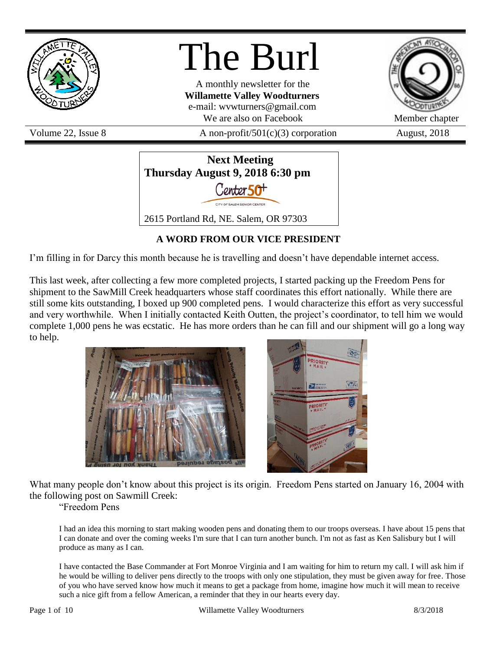

# The Burl

A monthly newsletter for the **Willamette Valley Woodturners** e-mail: wvwturners@gmail.com We are also on Facebook Member chapter

Volume 22, Issue 8  $\alpha$  A non-profit/501(c)(3) corporation August, 2018



### **A WORD FROM OUR VICE PRESIDENT**

I'm filling in for Darcy this month because he is travelling and doesn't have dependable internet access.

This last week, after collecting a few more completed projects, I started packing up the Freedom Pens for shipment to the SawMill Creek headquarters whose staff coordinates this effort nationally. While there are still some kits outstanding, I boxed up 900 completed pens. I would characterize this effort as very successful and very worthwhile. When I initially contacted Keith Outten, the project's coordinator, to tell him we would complete 1,000 pens he was ecstatic. He has more orders than he can fill and our shipment will go a long way to help.





What many people don't know about this project is its origin. Freedom Pens started on January 16, 2004 with the following post on Sawmill Creek:

"Freedom Pens

I had an idea this morning to start making wooden pens and donating them to our troops overseas. I have about 15 pens that I can donate and over the coming weeks I'm sure that I can turn another bunch. I'm not as fast as Ken Salisbury but I will produce as many as I can.

I have contacted the Base Commander at Fort Monroe Virginia and I am waiting for him to return my call. I will ask him if he would be willing to deliver pens directly to the troops with only one stipulation, they must be given away for free. Those of you who have served know how much it means to get a package from home, imagine how much it will mean to receive such a nice gift from a fellow American, a reminder that they in our hearts every day.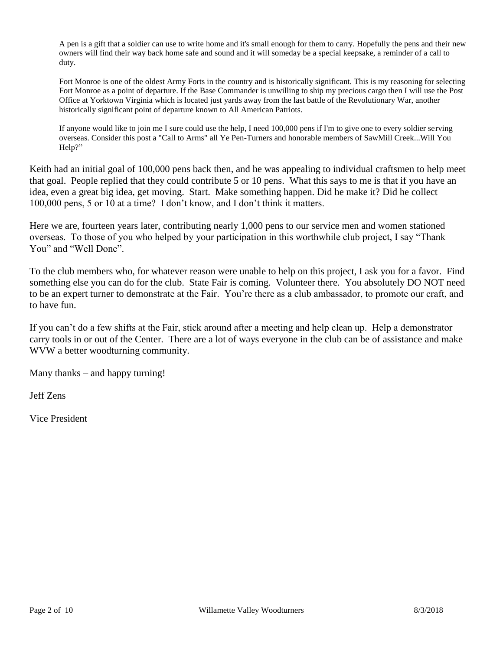A pen is a gift that a soldier can use to write home and it's small enough for them to carry. Hopefully the pens and their new owners will find their way back home safe and sound and it will someday be a special keepsake, a reminder of a call to duty.

Fort Monroe is one of the oldest Army Forts in the country and is historically significant. This is my reasoning for selecting Fort Monroe as a point of departure. If the Base Commander is unwilling to ship my precious cargo then I will use the Post Office at Yorktown Virginia which is located just yards away from the last battle of the Revolutionary War, another historically significant point of departure known to All American Patriots.

If anyone would like to join me I sure could use the help, I need 100,000 pens if I'm to give one to every soldier serving overseas. Consider this post a "Call to Arms" all Ye Pen-Turners and honorable members of SawMill Creek...Will You Help?"

Keith had an initial goal of 100,000 pens back then, and he was appealing to individual craftsmen to help meet that goal. People replied that they could contribute 5 or 10 pens. What this says to me is that if you have an idea, even a great big idea, get moving. Start. Make something happen. Did he make it? Did he collect 100,000 pens, 5 or 10 at a time? I don't know, and I don't think it matters.

Here we are, fourteen years later, contributing nearly 1,000 pens to our service men and women stationed overseas. To those of you who helped by your participation in this worthwhile club project, I say "Thank You" and "Well Done".

To the club members who, for whatever reason were unable to help on this project, I ask you for a favor. Find something else you can do for the club. State Fair is coming. Volunteer there. You absolutely DO NOT need to be an expert turner to demonstrate at the Fair. You're there as a club ambassador, to promote our craft, and to have fun.

If you can't do a few shifts at the Fair, stick around after a meeting and help clean up. Help a demonstrator carry tools in or out of the Center. There are a lot of ways everyone in the club can be of assistance and make WVW a better woodturning community.

Many thanks – and happy turning!

Jeff Zens

Vice President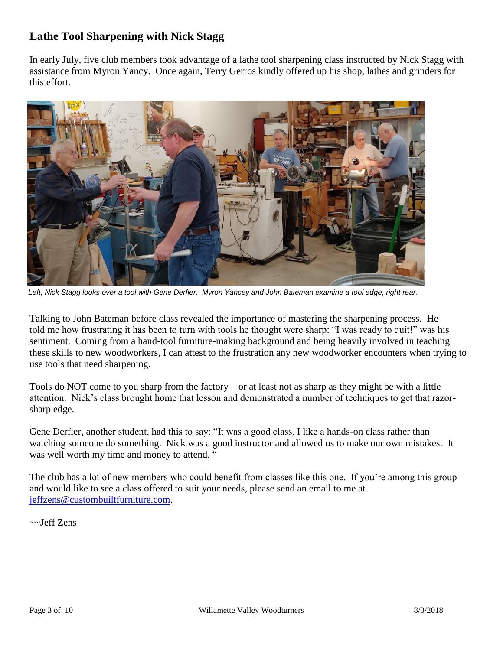### **Lathe Tool Sharpening with Nick Stagg**

In early July, five club members took advantage of a lathe tool sharpening class instructed by Nick Stagg with assistance from Myron Yancy. Once again, Terry Gerros kindly offered up his shop, lathes and grinders for this effort.



*Left, Nick Stagg looks over a tool with Gene Derfler. Myron Yancey and John Bateman examine a tool edge, right rear.*

Talking to John Bateman before class revealed the importance of mastering the sharpening process. He told me how frustrating it has been to turn with tools he thought were sharp: "I was ready to quit!" was his sentiment. Coming from a hand-tool furniture-making background and being heavily involved in teaching these skills to new woodworkers, I can attest to the frustration any new woodworker encounters when trying to use tools that need sharpening.

Tools do NOT come to you sharp from the factory – or at least not as sharp as they might be with a little attention. Nick's class brought home that lesson and demonstrated a number of techniques to get that razorsharp edge.

Gene Derfler, another student, had this to say: "It was a good class. I like a hands-on class rather than watching someone do something. Nick was a good instructor and allowed us to make our own mistakes. It was well worth my time and money to attend. "

The club has a lot of new members who could benefit from classes like this one. If you're among this group and would like to see a class offered to suit your needs, please send an email to me at [jeffzens@custombuiltfurniture.com.](mailto:jeffzens@custombuiltfurniture.com)

~~Jeff Zens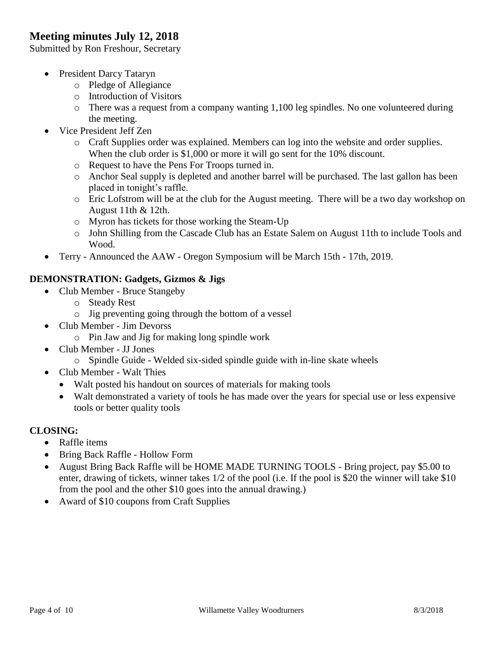### **Meeting minutes July 12, 2018**

Submitted by Ron Freshour, Secretary

- President Darcy Tataryn
	- o Pledge of Allegiance
	- o Introduction of Visitors
	- o There was a request from a company wanting 1,100 leg spindles. No one volunteered during the meeting.
- Vice President Jeff Zen
	- o Craft Supplies order was explained. Members can log into the website and order supplies. When the club order is \$1,000 or more it will go sent for the 10% discount.
	- o Request to have the Pens For Troops turned in.
	- o Anchor Seal supply is depleted and another barrel will be purchased. The last gallon has been placed in tonight's raffle.
	- o Eric Lofstrom will be at the club for the August meeting. There will be a two day workshop on August 11th & 12th.
	- o Myron has tickets for those working the Steam-Up
	- o John Shilling from the Cascade Club has an Estate Salem on August 11th to include Tools and Wood.
- Terry Announced the AAW Oregon Symposium will be March 15th 17th, 2019.

### **DEMONSTRATION: Gadgets, Gizmos & Jigs**

- Club Member Bruce Stangeby
	- o Steady Rest
	- o Jig preventing going through the bottom of a vessel
- Club Member Jim Devorss
	- o Pin Jaw and Jig for making long spindle work
- Club Member JJ Jones
	- o Spindle Guide Welded six-sided spindle guide with in-line skate wheels
- Club Member Walt Thies
	- Walt posted his handout on sources of materials for making tools
	- Walt demonstrated a variety of tools he has made over the years for special use or less expensive tools or better quality tools

#### **CLOSING:**

- Raffle items
- Bring Back Raffle Hollow Form
- August Bring Back Raffle will be HOME MADE TURNING TOOLS Bring project, pay \$5.00 to enter, drawing of tickets, winner takes 1/2 of the pool (i.e. If the pool is \$20 the winner will take \$10 from the pool and the other \$10 goes into the annual drawing.)
- Award of \$10 coupons from Craft Supplies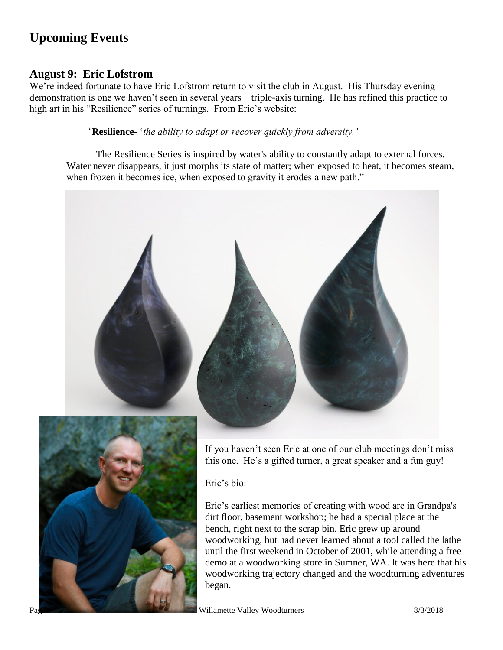### **Upcoming Events**

### **August 9: Eric Lofstrom**

We're indeed fortunate to have Eric Lofstrom return to visit the club in August. His Thursday evening demonstration is one we haven't seen in several years – triple-axis turning. He has refined this practice to high art in his "Resilience" series of turnings. From Eric's website:

"**Resilience**- '*the ability to adapt or recover quickly from adversity.'*

The Resilience Series is inspired by water's ability to constantly adapt to external forces. Water never disappears, it just morphs its state of matter; when exposed to heat, it becomes steam, when frozen it becomes ice, when exposed to gravity it erodes a new path."

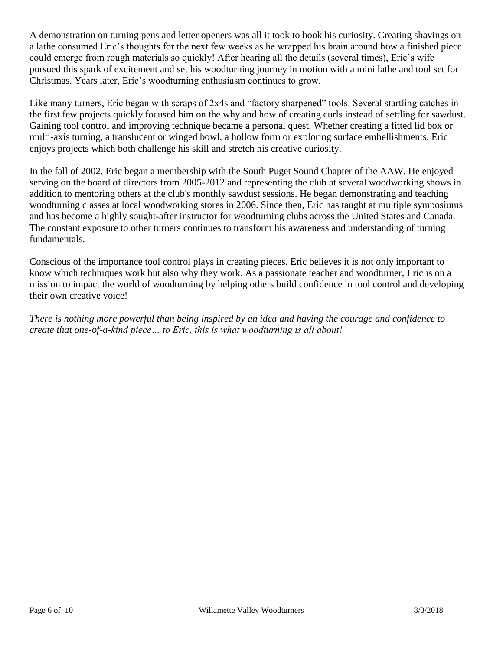A demonstration on turning pens and letter openers was all it took to hook his curiosity. Creating shavings on a lathe consumed Eric's thoughts for the next few weeks as he wrapped his brain around how a finished piece could emerge from rough materials so quickly! After hearing all the details (several times), Eric's wife pursued this spark of excitement and set his woodturning journey in motion with a mini lathe and tool set for Christmas. Years later, Eric's woodturning enthusiasm continues to grow.

Like many turners, Eric began with scraps of 2x4s and "factory sharpened" tools. Several startling catches in the first few projects quickly focused him on the why and how of creating curls instead of settling for sawdust. Gaining tool control and improving technique became a personal quest. Whether creating a fitted lid box or multi-axis turning, a translucent or winged bowl, a hollow form or exploring surface embellishments, Eric enjoys projects which both challenge his skill and stretch his creative curiosity.

In the fall of 2002, Eric began a membership with the South Puget Sound Chapter of the AAW. He enjoyed serving on the board of directors from 2005-2012 and representing the club at several woodworking shows in addition to mentoring others at the club's monthly sawdust sessions. He began demonstrating and teaching woodturning classes at local woodworking stores in 2006. Since then, Eric has taught at multiple symposiums and has become a highly sought-after instructor for woodturning clubs across the United States and Canada. The constant exposure to other turners continues to transform his awareness and understanding of turning fundamentals.

Conscious of the importance tool control plays in creating pieces, Eric believes it is not only important to know which techniques work but also why they work. As a passionate teacher and woodturner, Eric is on a mission to impact the world of woodturning by helping others build confidence in tool control and developing their own creative voice!

*There is nothing more powerful than being inspired by an idea and having the courage and confidence to create that one-of-a-kind piece… to Eric, this is what woodturning is all about!*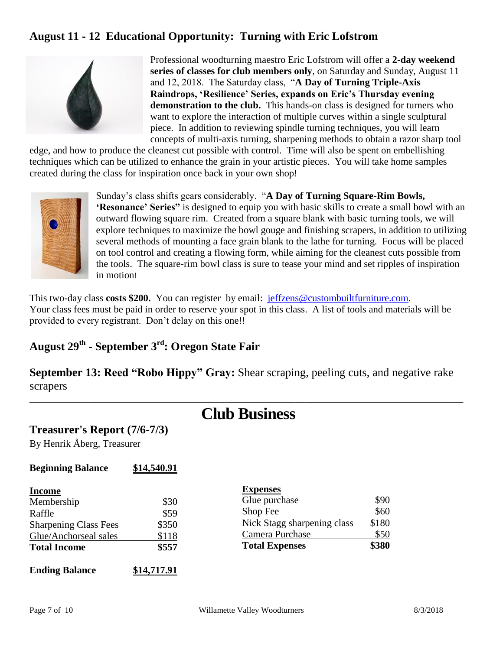### **August 11 - 12 Educational Opportunity: Turning with Eric Lofstrom**



Professional woodturning maestro Eric Lofstrom will offer a **2-day weekend series of classes for club members only**, on Saturday and Sunday, August 11 and 12, 2018. The Saturday class, "**A Day of Turning Triple-Axis Raindrops, 'Resilience' Series, expands on Eric's Thursday evening demonstration to the club.** This hands-on class is designed for turners who want to explore the interaction of multiple curves within a single sculptural piece. In addition to reviewing spindle turning techniques, you will learn concepts of multi-axis turning, sharpening methods to obtain a razor sharp tool

edge, and how to produce the cleanest cut possible with control. Time will also be spent on embellishing techniques which can be utilized to enhance the grain in your artistic pieces. You will take home samples created during the class for inspiration once back in your own shop!



Sunday's class shifts gears considerably. "**A Day of Turning Square-Rim Bowls, 'Resonance' Series"** is designed to equip you with basic skills to create a small bowl with an outward flowing square rim. Created from a square blank with basic turning tools, we will explore techniques to maximize the bowl gouge and finishing scrapers, in addition to utilizing several methods of mounting a face grain blank to the lathe for turning. Focus will be placed on tool control and creating a flowing form, while aiming for the cleanest cuts possible from the tools. The square-rim bowl class is sure to tease your mind and set ripples of inspiration in motion!

This two-day class **costs \$200.** You can register by email: [jeffzens@custombuiltfurniture.com.](mailto:jeffzens@custombuiltfurniture.com) Your class fees must be paid in order to reserve your spot in this class. A list of tools and materials will be provided to every registrant. Don't delay on this one!!

### **August 29th - September 3rd: Oregon State Fair**

**September 13: Reed "Robo Hippy" Gray:** Shear scraping, peeling cuts, and negative rake scrapers

### **Club Business**

**\_\_\_\_\_\_\_\_\_\_\_\_\_\_\_\_\_\_\_\_\_\_\_\_\_\_\_\_\_\_\_\_\_\_\_\_\_\_\_\_\_\_\_\_\_\_\_\_\_\_\_\_\_\_\_\_\_\_\_\_\_\_\_\_\_\_\_\_\_\_\_\_\_\_\_\_\_\_\_\_\_\_\_\_\_\_\_\_**

### **Treasurer's Report (7/6-7/3)**

By Henrik Åberg, Treasurer

| <b>Beginning Balance</b> | \$14,540.91 |
|--------------------------|-------------|
|                          |             |

| <b>Income</b>                |             | <b>Expenses</b>             |       |
|------------------------------|-------------|-----------------------------|-------|
| Membership                   | \$30        | Glue purchase               | \$90  |
| Raffle                       | \$59        | Shop Fee                    | \$60  |
| <b>Sharpening Class Fees</b> | \$350       | Nick Stagg sharpening class | \$180 |
| Glue/Anchorseal sales        | \$118       | Camera Purchase             | \$50  |
| <b>Total Income</b>          | \$557       | <b>Total Expenses</b>       | \$380 |
| <b>Ending Balance</b>        | \$14,717.91 |                             |       |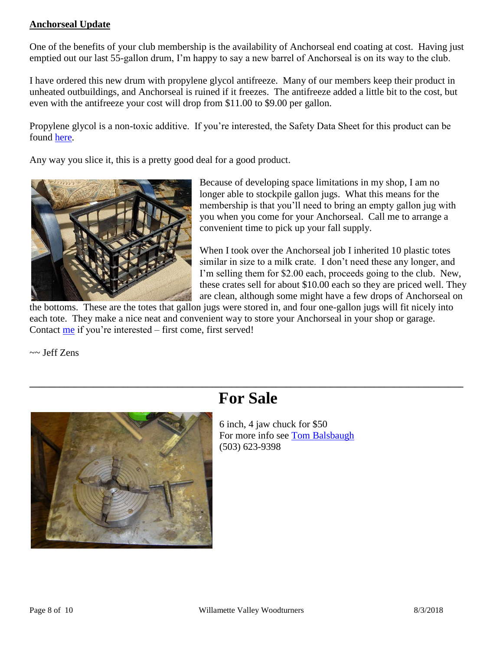#### **Anchorseal Update**

One of the benefits of your club membership is the availability of Anchorseal end coating at cost. Having just emptied out our last 55-gallon drum, I'm happy to say a new barrel of Anchorseal is on its way to the club.

I have ordered this new drum with propylene glycol antifreeze. Many of our members keep their product in unheated outbuildings, and Anchorseal is ruined if it freezes. The antifreeze added a little bit to the cost, but even with the antifreeze your cost will drop from \$11.00 to \$9.00 per gallon.

Propylene glycol is a non-toxic additive. If you're interested, the Safety Data Sheet for this product can be found [here.](http://uccoatings.com/wp-content/uploads/2017/02/ANCHORSEAL-G-SDS.pdf)

Any way you slice it, this is a pretty good deal for a good product.



Because of developing space limitations in my shop, I am no longer able to stockpile gallon jugs. What this means for the membership is that you'll need to bring an empty gallon jug with you when you come for your Anchorseal. Call me to arrange a convenient time to pick up your fall supply.

When I took over the Anchorseal job I inherited 10 plastic totes similar in size to a milk crate. I don't need these any longer, and I'm selling them for \$2.00 each, proceeds going to the club. New, these crates sell for about \$10.00 each so they are priced well. They are clean, although some might have a few drops of Anchorseal on

the bottoms. These are the totes that gallon jugs were stored in, and four one-gallon jugs will fit nicely into each tote. They make a nice neat and convenient way to store your Anchorseal in your shop or garage. Contact [me](mailto:JeffZens@custombuiltfurniture.com) if you're interested – first come, first served!

~~ Jeff Zens



## **For Sale**

**\_\_\_\_\_\_\_\_\_\_\_\_\_\_\_\_\_\_\_\_\_\_\_\_\_\_\_\_\_\_\_\_\_\_\_\_\_\_\_\_\_\_\_\_\_\_\_\_\_\_\_\_\_\_\_\_\_\_\_\_\_\_\_\_\_\_\_\_\_\_\_\_\_\_\_\_\_\_\_\_\_\_\_\_\_\_\_\_**

6 inch, 4 jaw chuck for \$50 For more info see [Tom Balsbaugh](mailto:tombalsbaugh_1@msn.com) (503) 623-9398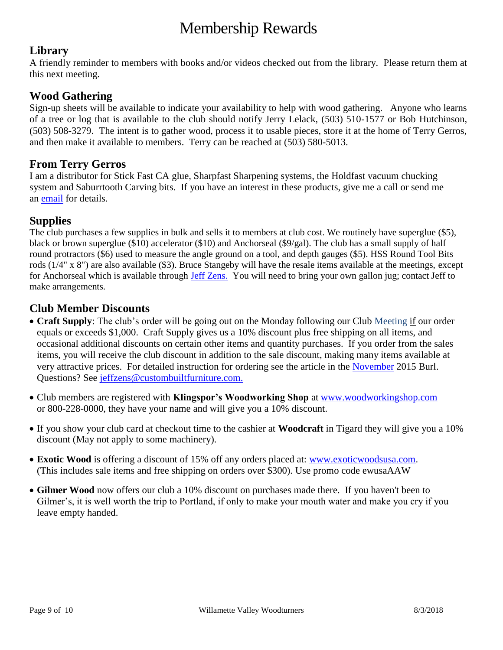## Membership Rewards

### **Library**

A friendly reminder to members with books and/or videos checked out from the library. Please return them at this next meeting.

### **Wood Gathering**

Sign-up sheets will be available to indicate your availability to help with wood gathering. Anyone who learns of a tree or log that is available to the club should notify Jerry Lelack, (503) 510-1577 or Bob Hutchinson, (503) 508-3279. The intent is to gather wood, process it to usable pieces, store it at the home of Terry Gerros, and then make it available to members. Terry can be reached at (503) 580-5013.

### **From Terry Gerros**

I am a distributor for Stick Fast CA glue, Sharpfast Sharpening systems, the Holdfast vacuum chucking system and Saburrtooth Carving bits. If you have an interest in these products, give me a call or send me an [email](mailto:gerrost@yahoo.com) for details.

### **Supplies**

The club purchases a few supplies in bulk and sells it to members at club cost. We routinely have superglue (\$5), black or brown superglue (\$10) accelerator (\$10) and Anchorseal (\$9/gal). The club has a small supply of half round protractors (\$6) used to measure the angle ground on a tool, and depth gauges (\$5). HSS Round Tool Bits rods (1/4" x 8") are also available (\$3). Bruce Stangeby will have the resale items available at the meetings, except for Anchorseal which is available through [Jeff Zens.](mailto:jeffzens@custombuiltfurniture.com) You will need to bring your own gallon jug; contact Jeff to make arrangements.

### **Club Member Discounts**

- **Craft Supply**: The club's order will be going out on the Monday following our Club Meeting if our order equals or exceeds \$1,000. Craft Supply gives us a 10% discount plus free shipping on all items, and occasional additional discounts on certain other items and quantity purchases. If you order from the sales items, you will receive the club discount in addition to the sale discount, making many items available at very attractive prices. For detailed instruction for ordering see the article in the [November](http://www.willamettevalleywoodturners.com/newsletters/2015_11_WVW_Newsletter.pdf) 2015 Burl. Questions? See [jeffzens@custombuiltfurniture.com.](mailto:jeffzens@custombuiltfurniture.com.)
- Club members are registered with **Klingspor's Woodworking Shop** at [www.woodworkingshop.com](http://www.woodworkingshop.com/)  or 800-228-0000, they have your name and will give you a 10% discount.
- If you show your club card at checkout time to the cashier at **Woodcraft** in Tigard they will give you a 10% discount (May not apply to some machinery).
- **Exotic Wood** is offering a discount of 15% off any orders placed at: [www.exoticwoodsusa.com.](http://www.exoticwoodsusa.com/) (This includes sale items and free shipping on orders over \$300). Use promo code ewusaAAW
- **Gilmer Wood** now offers our club a 10% discount on purchases made there. If you haven't been to Gilmer's, it is well worth the trip to Portland, if only to make your mouth water and make you cry if you leave empty handed.